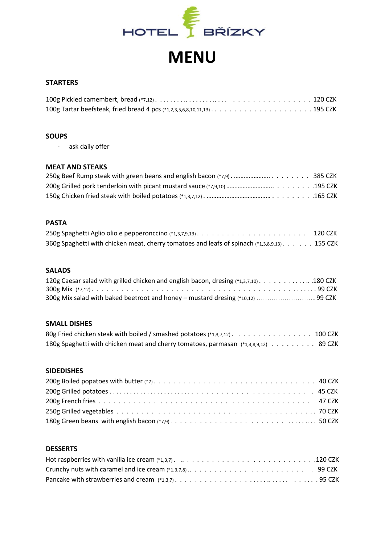

# **MENU**

## **STARTERS**

#### **SOUPS**

- ask daily offer

# **MEAT AND STEAKS**

# **PASTA**

|                                                                                              | 120 CZK |
|----------------------------------------------------------------------------------------------|---------|
| 360g Spaghetti with chicken meat, cherry tomatoes and leafs of spinach (*1,3,8,9,13) 155 CZK |         |

# **SALADS**

| 120g Caesar salad with grilled chicken and english bacon, dresing (*1,3,7,10) 180 CZK |  |
|---------------------------------------------------------------------------------------|--|
|                                                                                       |  |
| 300g Mix salad with baked beetroot and honey - mustard dresing (*10,12) 99 CZK        |  |

#### **SMALL DISHES**

| 80g Fried chicken steak with boiled / smashed potatoes (*1,3,7,12) 100 CZK          |  |
|-------------------------------------------------------------------------------------|--|
| 180g Spaghetti with chicken meat and cherry tomatoes, parmasan (*1,3,8,9,12) 89 CZK |  |

### **SIDEDISHES**

| 180g Green beans with english bacon (*7,9)50 CZK |  |
|--------------------------------------------------|--|

# **DESSERTS**